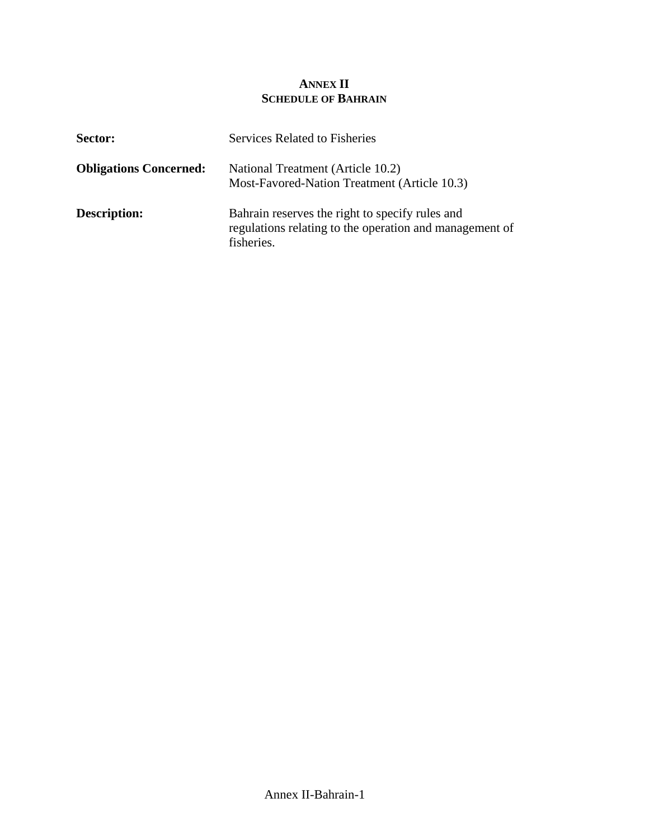## **ANNEX II SCHEDULE OF BAHRAIN**

| Sector:                       | <b>Services Related to Fisheries</b>                                                                                     |
|-------------------------------|--------------------------------------------------------------------------------------------------------------------------|
| <b>Obligations Concerned:</b> | National Treatment (Article 10.2)<br>Most-Favored-Nation Treatment (Article 10.3)                                        |
| <b>Description:</b>           | Bahrain reserves the right to specify rules and<br>regulations relating to the operation and management of<br>fisheries. |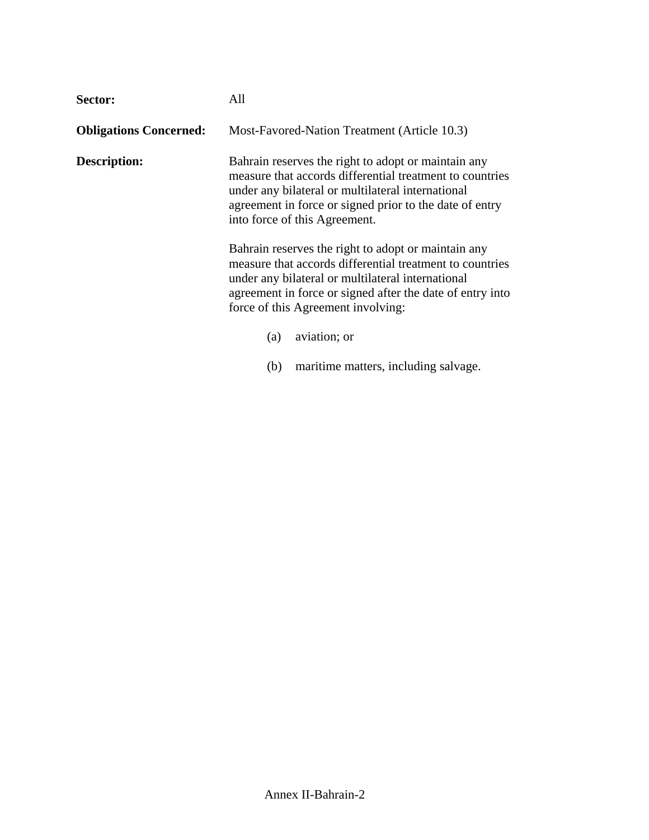| Sector:                       | All                                                                                                                                                                                                                                                                     |  |
|-------------------------------|-------------------------------------------------------------------------------------------------------------------------------------------------------------------------------------------------------------------------------------------------------------------------|--|
| <b>Obligations Concerned:</b> | Most-Favored-Nation Treatment (Article 10.3)                                                                                                                                                                                                                            |  |
| <b>Description:</b>           | Bahrain reserves the right to adopt or maintain any<br>measure that accords differential treatment to countries<br>under any bilateral or multilateral international<br>agreement in force or signed prior to the date of entry<br>into force of this Agreement.        |  |
|                               | Bahrain reserves the right to adopt or maintain any<br>measure that accords differential treatment to countries<br>under any bilateral or multilateral international<br>agreement in force or signed after the date of entry into<br>force of this Agreement involving: |  |
|                               | aviation; or<br>(a)                                                                                                                                                                                                                                                     |  |

(b) maritime matters, including salvage.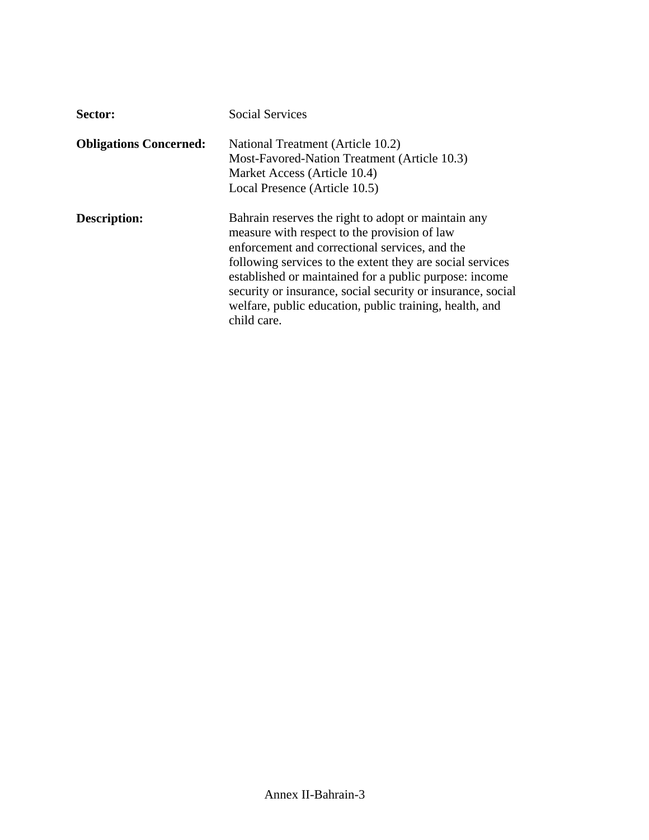| Sector:                       | <b>Social Services</b>                                                                                                                                                                                                                                                                                                                                                                                                |
|-------------------------------|-----------------------------------------------------------------------------------------------------------------------------------------------------------------------------------------------------------------------------------------------------------------------------------------------------------------------------------------------------------------------------------------------------------------------|
| <b>Obligations Concerned:</b> | National Treatment (Article 10.2)<br>Most-Favored-Nation Treatment (Article 10.3)<br>Market Access (Article 10.4)<br>Local Presence (Article 10.5)                                                                                                                                                                                                                                                                    |
| Description:                  | Bahrain reserves the right to adopt or maintain any<br>measure with respect to the provision of law<br>enforcement and correctional services, and the<br>following services to the extent they are social services<br>established or maintained for a public purpose: income<br>security or insurance, social security or insurance, social<br>welfare, public education, public training, health, and<br>child care. |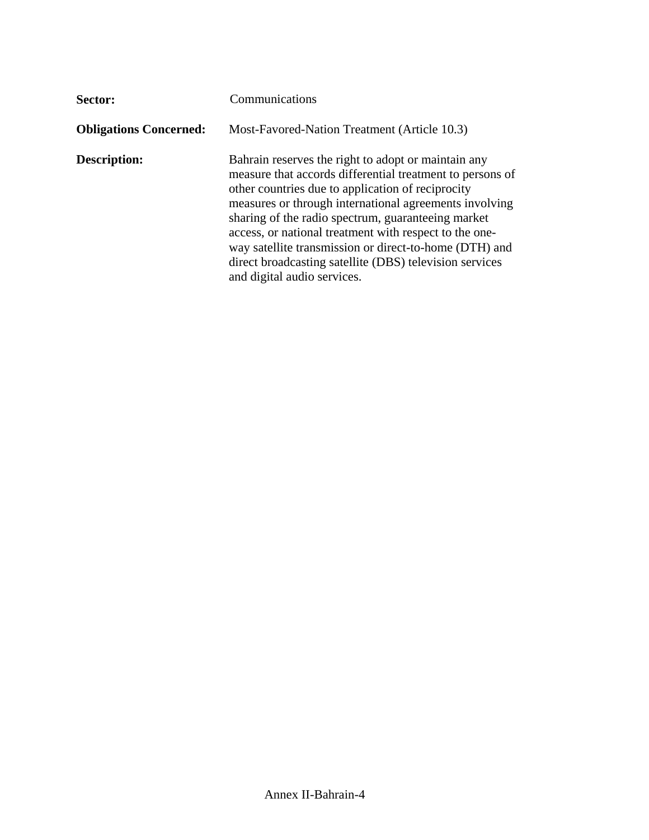| Sector:                       | Communications                                                                                                                                                                                                                                                                                                                                                                                                                                                                                      |
|-------------------------------|-----------------------------------------------------------------------------------------------------------------------------------------------------------------------------------------------------------------------------------------------------------------------------------------------------------------------------------------------------------------------------------------------------------------------------------------------------------------------------------------------------|
| <b>Obligations Concerned:</b> | Most-Favored-Nation Treatment (Article 10.3)                                                                                                                                                                                                                                                                                                                                                                                                                                                        |
| <b>Description:</b>           | Bahrain reserves the right to adopt or maintain any<br>measure that accords differential treatment to persons of<br>other countries due to application of reciprocity<br>measures or through international agreements involving<br>sharing of the radio spectrum, guaranteeing market<br>access, or national treatment with respect to the one-<br>way satellite transmission or direct-to-home (DTH) and<br>direct broadcasting satellite (DBS) television services<br>and digital audio services. |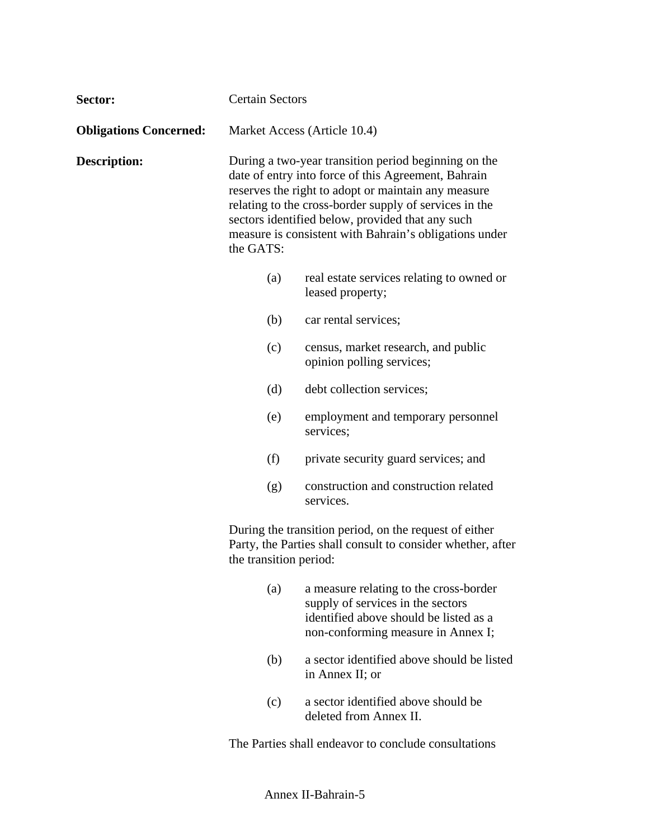| Sector:                       | <b>Certain Sectors</b>                                                                                                                                                                                                                                                                                                                                  |                                                                                                                                                             |  |
|-------------------------------|---------------------------------------------------------------------------------------------------------------------------------------------------------------------------------------------------------------------------------------------------------------------------------------------------------------------------------------------------------|-------------------------------------------------------------------------------------------------------------------------------------------------------------|--|
| <b>Obligations Concerned:</b> |                                                                                                                                                                                                                                                                                                                                                         | Market Access (Article 10.4)                                                                                                                                |  |
| <b>Description:</b>           | During a two-year transition period beginning on the<br>date of entry into force of this Agreement, Bahrain<br>reserves the right to adopt or maintain any measure<br>relating to the cross-border supply of services in the<br>sectors identified below, provided that any such<br>measure is consistent with Bahrain's obligations under<br>the GATS: |                                                                                                                                                             |  |
|                               | (a)                                                                                                                                                                                                                                                                                                                                                     | real estate services relating to owned or<br>leased property;                                                                                               |  |
|                               | (b)                                                                                                                                                                                                                                                                                                                                                     | car rental services;                                                                                                                                        |  |
|                               | (c)                                                                                                                                                                                                                                                                                                                                                     | census, market research, and public<br>opinion polling services;                                                                                            |  |
|                               | (d)                                                                                                                                                                                                                                                                                                                                                     | debt collection services;                                                                                                                                   |  |
|                               | (e)                                                                                                                                                                                                                                                                                                                                                     | employment and temporary personnel<br>services;                                                                                                             |  |
|                               | (f)                                                                                                                                                                                                                                                                                                                                                     | private security guard services; and                                                                                                                        |  |
|                               | (g)                                                                                                                                                                                                                                                                                                                                                     | construction and construction related<br>services.                                                                                                          |  |
|                               | During the transition period, on the request of either<br>Party, the Parties shall consult to consider whether, after<br>the transition period:                                                                                                                                                                                                         |                                                                                                                                                             |  |
|                               | (a)                                                                                                                                                                                                                                                                                                                                                     | a measure relating to the cross-border<br>supply of services in the sectors<br>identified above should be listed as a<br>non-conforming measure in Annex I; |  |
|                               | (b)                                                                                                                                                                                                                                                                                                                                                     | a sector identified above should be listed<br>in Annex II; or                                                                                               |  |
|                               | (c)                                                                                                                                                                                                                                                                                                                                                     | a sector identified above should be<br>deleted from Annex II.                                                                                               |  |

The Parties shall endeavor to conclude consultations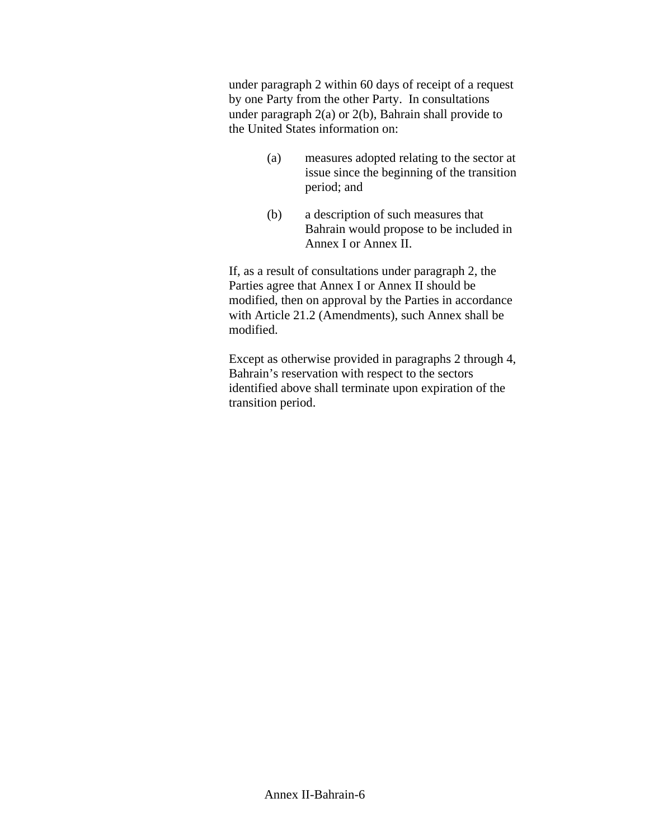under paragraph 2 within 60 days of receipt of a request by one Party from the other Party. In consultations under paragraph 2(a) or 2(b), Bahrain shall provide to the United States information on:

- (a) measures adopted relating to the sector at issue since the beginning of the transition period; and
- (b) a description of such measures that Bahrain would propose to be included in Annex I or Annex II.

If, as a result of consultations under paragraph 2, the Parties agree that Annex I or Annex II should be modified, then on approval by the Parties in accordance with Article 21.2 (Amendments), such Annex shall be modified.

Except as otherwise provided in paragraphs 2 through 4, Bahrain's reservation with respect to the sectors identified above shall terminate upon expiration of the transition period.